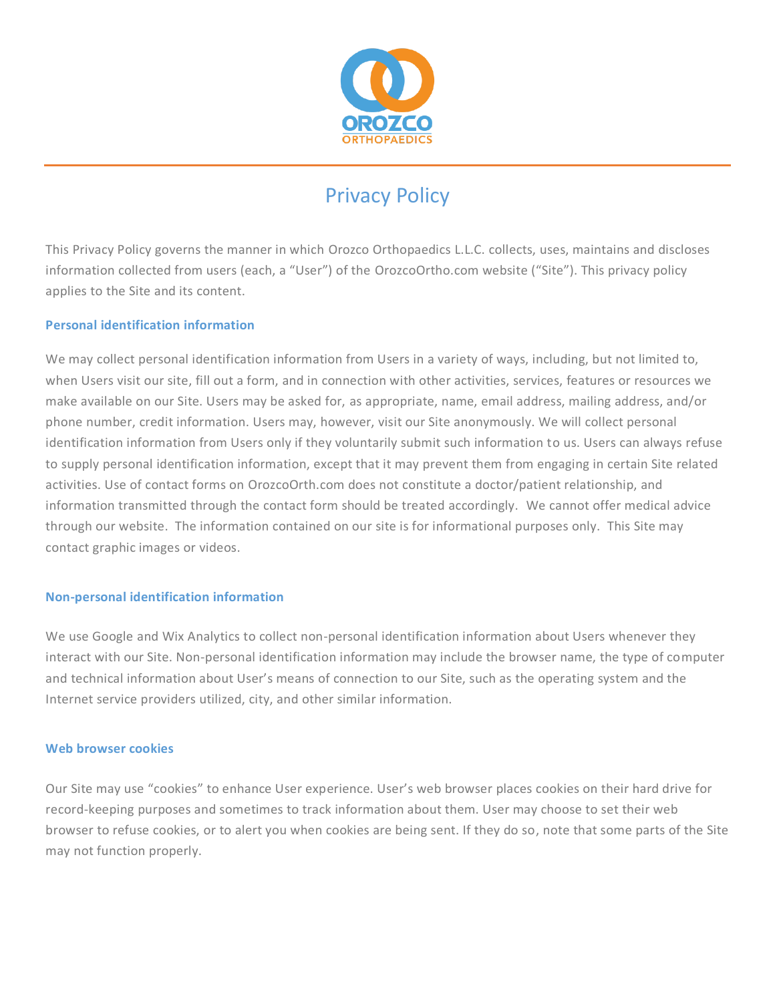

# Privacy Policy

This Privacy Policy governs the manner in which Orozco Orthopaedics L.L.C. collects, uses, maintains and discloses information collected from users (each, a "User") of the OrozcoOrtho.com website ("Site"). This privacy policy applies to the Site and its content.

# **Personal identification information**

We may collect personal identification information from Users in a variety of ways, including, but not limited to, when Users visit our site, fill out a form, and in connection with other activities, services, features or resources we make available on our Site. Users may be asked for, as appropriate, name, email address, mailing address, and/or phone number, credit information. Users may, however, visit our Site anonymously. We will collect personal identification information from Users only if they voluntarily submit such information to us. Users can always refuse to supply personal identification information, except that it may prevent them from engaging in certain Site related activities. Use of contact forms on OrozcoOrth.com does not constitute a doctor/patient relationship, and information transmitted through the contact form should be treated accordingly. We cannot offer medical advice through our website. The information contained on our site is for informational purposes only. This Site may contact graphic images or videos.

## **Non-personal identification information**

We use Google and Wix Analytics to collect non-personal identification information about Users whenever they interact with our Site. Non-personal identification information may include the browser name, the type of computer and technical information about User's means of connection to our Site, such as the operating system and the Internet service providers utilized, city, and other similar information.

## **Web browser cookies**

Our Site may use "cookies" to enhance User experience. User's web browser places cookies on their hard drive for record-keeping purposes and sometimes to track information about them. User may choose to set their web browser to refuse cookies, or to alert you when cookies are being sent. If they do so, note that some parts of the Site may not function properly.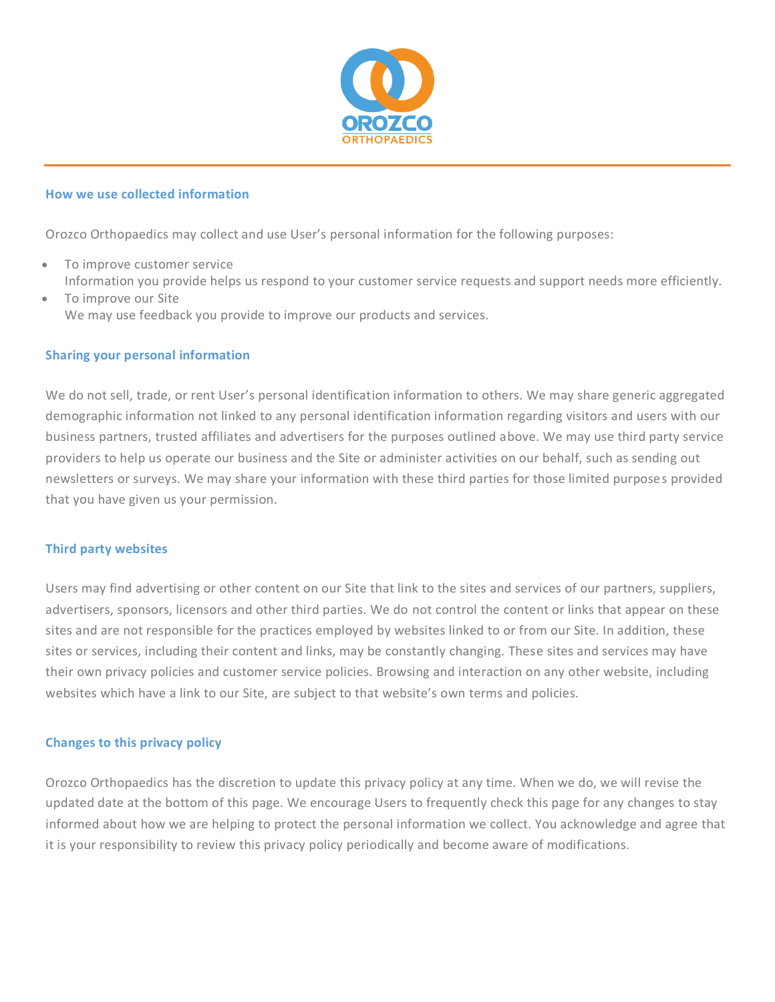

## **How we use collected information**

Orozco Orthopaedics may collect and use User's personal information for the following purposes:

- To improve customer service Information you provide helps us respond to your customer service requests and support needs more efficiently.
- To improve our Site We may use feedback you provide to improve our products and services.

#### **Sharing your personal information**

We do not sell, trade, or rent User's personal identification information to others. We may share generic aggregated demographic information not linked to any personal identification information regarding visitors and users with our business partners, trusted affiliates and advertisers for the purposes outlined above. We may use third party service providers to help us operate our business and the Site or administer activities on our behalf, such as sending out newsletters or surveys. We may share your information with these third parties for those limited purposes provided that you have given us your permission.

## **Third party websites**

Users may find advertising or other content on our Site that link to the sites and services of our partners, suppliers, advertisers, sponsors, licensors and other third parties. We do not control the content or links that appear on these sites and are not responsible for the practices employed by websites linked to or from our Site. In addition, these sites or services, including their content and links, may be constantly changing. These sites and services may have their own privacy policies and customer service policies. Browsing and interaction on any other website, including websites which have a link to our Site, are subject to that website's own terms and policies.

## **Changes to this privacy policy**

Orozco Orthopaedics has the discretion to update this privacy policy at any time. When we do, we will revise the updated date at the bottom of this page. We encourage Users to frequently check this page for any changes to stay informed about how we are helping to protect the personal information we collect. You acknowledge and agree that it is your responsibility to review this privacy policy periodically and become aware of modifications.